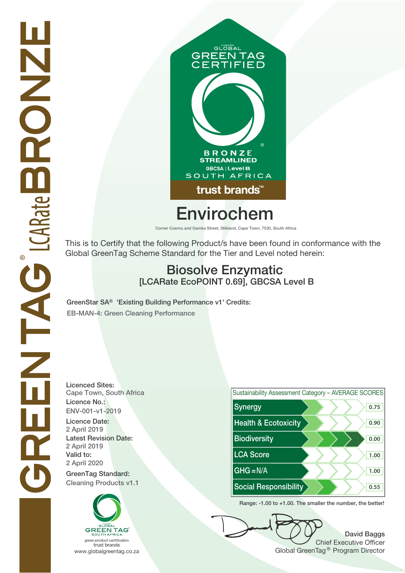

# GLOBAL **GREEN TAG<br>CERTIFIED IFIED B R O N Z E<br>STREAMLINED GBCSA | Level B** SOUTH AFRICA trust brands<sup>™</sup>

# **Envirochem**

**Corner Coenru and Gamka Street, Stikland, Cape Town, 7530, South Africa**

This is to Certify that the following Product/s have been found in conformance with the Global GreenTag Scheme Standard for the Tier and Level noted herein:

## **Biosolve Enzymatic [LCARate EcoPOINT 0.69], GBCSA Level B**

**GreenStar SA® 'Existing Building Performance v1' Credits: EB-MAN-4: Green Cleaning Performance**

**Licenced Sites: Cape Town, South Africa Licence No.: ENV-001-v1-2019 2 April 2019 2 April 2020 2 April 2019 Latest Revision Date:**





**Range: -1.00 to +1.00. The smaller the number, the better!**

**David Baggs** Chief Executive Officer www.globalgreentag.co.za www.globalgreentag.co.za